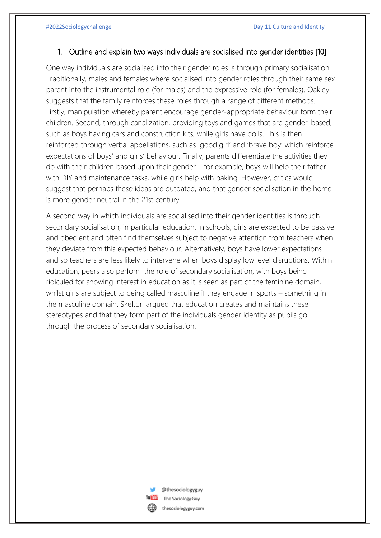## 1. Outline and explain two ways individuals are socialised into gender identities [10]

One way individuals are socialised into their gender roles is through primary socialisation. Traditionally, males and females where socialised into gender roles through their same sex parent into the instrumental role (for males) and the expressive role (for females). Oakley suggests that the family reinforces these roles through a range of different methods. Firstly, manipulation whereby parent encourage gender-appropriate behaviour form their children. Second, through canalization, providing toys and games that are gender-based, such as boys having cars and construction kits, while girls have dolls. This is then reinforced through verbal appellations, such as 'good girl' and 'brave boy' which reinforce expectations of boys' and girls' behaviour. Finally, parents differentiate the activities they do with their children based upon their gender – for example, boys will help their father with DIY and maintenance tasks, while girls help with baking. However, critics would suggest that perhaps these ideas are outdated, and that gender socialisation in the home is more gender neutral in the 21st century.

A second way in which individuals are socialised into their gender identities is through secondary socialisation, in particular education. In schools, girls are expected to be passive and obedient and often find themselves subject to negative attention from teachers when they deviate from this expected behaviour. Alternatively, boys have lower expectations and so teachers are less likely to intervene when boys display low level disruptions. Within education, peers also perform the role of secondary socialisation, with boys being ridiculed for showing interest in education as it is seen as part of the feminine domain, whilst girls are subject to being called masculine if they engage in sports – something in the masculine domain. Skelton argued that education creates and maintains these stereotypes and that they form part of the individuals gender identity as pupils go through the process of secondary socialisation.



@thesociologyguy The Sociology Guy thesociologyguy.com